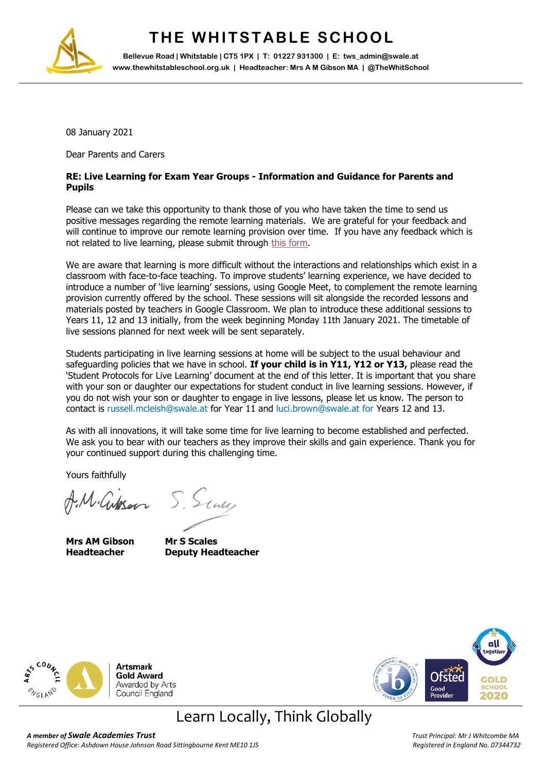

## **THE WHITSTABLE SCHOOL**

**Bellevue Road | Whitstable | CT5 1PX | T: 01227 931300 | E: tws\_admin@swale.at www.thewhitstableschool.org.uk | Headteacher: Mrs A M Gibson MA | @TheWhitSchool**

08 January 2021

Dear Parents and Carers

#### **RE: Live Learning for Exam Year Groups - Information and Guidance for Parents and Pupils**

Please can we take this opportunity to thank those of you who have taken the time to send us positive messages regarding the remote learning materials. We are grateful for your feedback and will continue to improve our remote learning provision over time. If you have any feedback which is not related to live learning, please submit through [this form.](https://docs.google.com/forms/d/e/1FAIpQLSeacV5vs536lJPGqfD7JSlWdWoTqL2rj9FZGi1lfiWtETapcA/viewform?usp=sf_link)

We are aware that learning is more difficult without the interactions and relationships which exist in a classroom with face-to-face teaching. To improve students' learning experience, we have decided to introduce a number of 'live learning' sessions, using Google Meet, to complement the remote learning provision currently offered by the school. These sessions will sit alongside the recorded lessons and materials posted by teachers in Google Classroom. We plan to introduce these additional sessions to Years 11, 12 and 13 initially, from the week beginning Monday 11th January 2021. The timetable of live sessions planned for next week will be sent separately.

Students participating in live learning sessions at home will be subject to the usual behaviour and safeguarding policies that we have in school. **If your child is in Y11, Y12 or Y13,** please read the 'Student Protocols for Live Learning' document at the end of this letter. It is important that you share with your son or daughter our expectations for student conduct in live learning sessions. However, if you do not wish your son or daughter to engage in live lessons, please let us know. The person to contact is russell.mcleish@swale.at for Year 11 and luci.brown@swale.at for Years 12 and 13.

As with all innovations, it will take some time for live learning to become established and perfected. We ask you to bear with our teachers as they improve their skills and gain experience. Thank you for your continued support during this challenging time.

Yours faithfully

M. Gibson S. Sauce

**Mrs AM Gibson Mr S Scales**

**Headteacher Deputy Headteacher**





### Learn Locally, Think Globally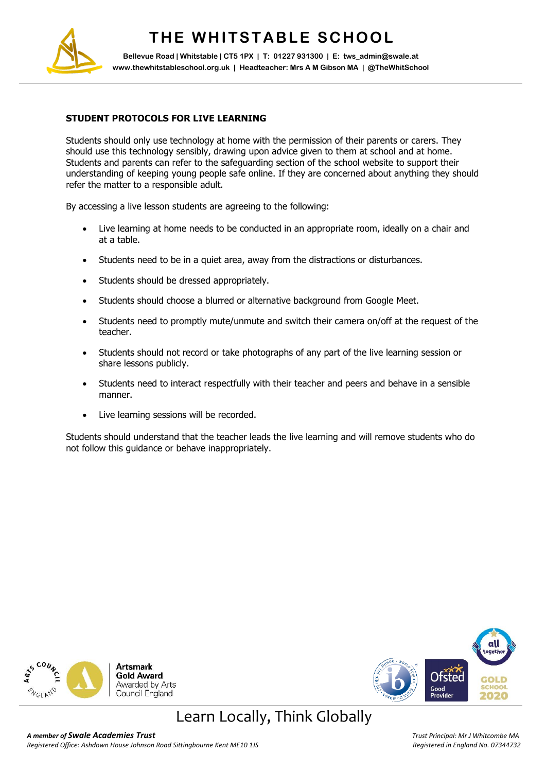

## **THE WHITSTABLE SCHOOL**

**Bellevue Road | Whitstable | CT5 1PX | T: 01227 931300 | E: tws\_admin@swale.at www.thewhitstableschool.org.uk | Headteacher: Mrs A M Gibson MA | @TheWhitSchool**

#### **STUDENT PROTOCOLS FOR LIVE LEARNING**

Students should only use technology at home with the permission of their parents or carers. They should use this technology sensibly, drawing upon advice given to them at school and at home. Students and parents can refer to the safeguarding section of the school website to support their understanding of keeping young people safe online. If they are concerned about anything they should refer the matter to a responsible adult.

By accessing a live lesson students are agreeing to the following:

- Live learning at home needs to be conducted in an appropriate room, ideally on a chair and at a table.
- Students need to be in a quiet area, away from the distractions or disturbances.
- Students should be dressed appropriately.
- Students should choose a blurred or alternative background from Google Meet.
- Students need to promptly mute/unmute and switch their camera on/off at the request of the teacher.
- Students should not record or take photographs of any part of the live learning session or share lessons publicly.
- Students need to interact respectfully with their teacher and peers and behave in a sensible manner.
- Live learning sessions will be recorded.

Students should understand that the teacher leads the live learning and will remove students who do not follow this guidance or behave inappropriately.





## Learn Locally, Think Globally